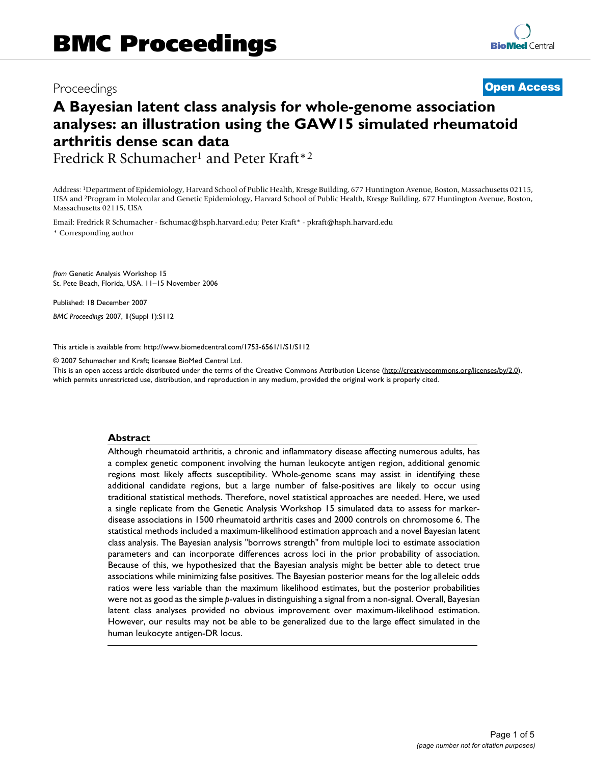## Proceedings **[Open Access](http://www.biomedcentral.com/info/about/charter/)**

# **A Bayesian latent class analysis for whole-genome association analyses: an illustration using the GAW15 simulated rheumatoid arthritis dense scan data**

Fredrick R Schumacher<sup>1</sup> and Peter Kraft\*<sup>2</sup>

Address: 1Department of Epidemiology, Harvard School of Public Health, Kresge Building, 677 Huntington Avenue, Boston, Massachusetts 02115, USA and 2Program in Molecular and Genetic Epidemiology, Harvard School of Public Health, Kresge Building, 677 Huntington Avenue, Boston, Massachusetts 02115, USA

Email: Fredrick R Schumacher - fschumac@hsph.harvard.edu; Peter Kraft\* - pkraft@hsph.harvard.edu \* Corresponding author

*from* Genetic Analysis Workshop 15 St. Pete Beach, Florida, USA. 11–15 November 2006

Published: 18 December 2007 *BMC Proceedings* 2007, **1**(Suppl 1):S112

[This article is available from: http://www.biomedcentral.com/1753-6561/1/S1/S112](http://www.biomedcentral.com/1753-6561/1/S1/S112)

© 2007 Schumacher and Kraft; licensee BioMed Central Ltd.

This is an open access article distributed under the terms of the Creative Commons Attribution License [\(http://creativecommons.org/licenses/by/2.0\)](http://creativecommons.org/licenses/by/2.0), which permits unrestricted use, distribution, and reproduction in any medium, provided the original work is properly cited.

#### **Abstract**

Although rheumatoid arthritis, a chronic and inflammatory disease affecting numerous adults, has a complex genetic component involving the human leukocyte antigen region, additional genomic regions most likely affects susceptibility. Whole-genome scans may assist in identifying these additional candidate regions, but a large number of false-positives are likely to occur using traditional statistical methods. Therefore, novel statistical approaches are needed. Here, we used a single replicate from the Genetic Analysis Workshop 15 simulated data to assess for markerdisease associations in 1500 rheumatoid arthritis cases and 2000 controls on chromosome 6. The statistical methods included a maximum-likelihood estimation approach and a novel Bayesian latent class analysis. The Bayesian analysis "borrows strength" from multiple loci to estimate association parameters and can incorporate differences across loci in the prior probability of association. Because of this, we hypothesized that the Bayesian analysis might be better able to detect true associations while minimizing false positives. The Bayesian posterior means for the log alleleic odds ratios were less variable than the maximum likelihood estimates, but the posterior probabilities were not as good as the simple *p*-values in distinguishing a signal from a non-signal. Overall, Bayesian latent class analyses provided no obvious improvement over maximum-likelihood estimation. However, our results may not be able to be generalized due to the large effect simulated in the human leukocyte antigen-DR locus.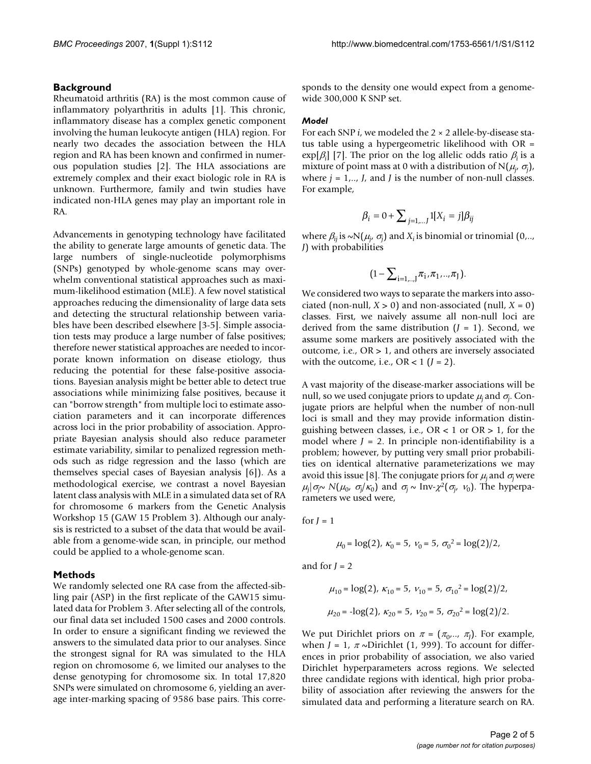#### **Background**

Rheumatoid arthritis (RA) is the most common cause of inflammatory polyarthritis in adults [1]. This chronic, inflammatory disease has a complex genetic component involving the human leukocyte antigen (HLA) region. For nearly two decades the association between the HLA region and RA has been known and confirmed in numerous population studies [2]. The HLA associations are extremely complex and their exact biologic role in RA is unknown. Furthermore, family and twin studies have indicated non-HLA genes may play an important role in RA.

Advancements in genotyping technology have facilitated the ability to generate large amounts of genetic data. The large numbers of single-nucleotide polymorphisms (SNPs) genotyped by whole-genome scans may overwhelm conventional statistical approaches such as maximum-likelihood estimation (MLE). A few novel statistical approaches reducing the dimensionality of large data sets and detecting the structural relationship between variables have been described elsewhere [3-5]. Simple association tests may produce a large number of false positives; therefore newer statistical approaches are needed to incorporate known information on disease etiology, thus reducing the potential for these false-positive associations. Bayesian analysis might be better able to detect true associations while minimizing false positives, because it can "borrow strength" from multiple loci to estimate association parameters and it can incorporate differences across loci in the prior probability of association. Appropriate Bayesian analysis should also reduce parameter estimate variability, similar to penalized regression methods such as ridge regression and the lasso (which are themselves special cases of Bayesian analysis [6]). As a methodological exercise, we contrast a novel Bayesian latent class analysis with MLE in a simulated data set of RA for chromosome 6 markers from the Genetic Analysis Workshop 15 (GAW 15 Problem 3). Although our analysis is restricted to a subset of the data that would be available from a genome-wide scan, in principle, our method could be applied to a whole-genome scan.

#### **Methods**

We randomly selected one RA case from the affected-sibling pair (ASP) in the first replicate of the GAW15 simulated data for Problem 3. After selecting all of the controls, our final data set included 1500 cases and 2000 controls. In order to ensure a significant finding we reviewed the answers to the simulated data prior to our analyses. Since the strongest signal for RA was simulated to the HLA region on chromosome 6, we limited our analyses to the dense genotyping for chromosome six. In total 17,820 SNPs were simulated on chromosome 6, yielding an average inter-marking spacing of 9586 base pairs. This corresponds to the density one would expect from a genomewide 300,000 K SNP set.

#### *Model*

For each SNP *i*, we modeled the 2 × 2 allele-by-disease status table using a hypergeometric likelihood with OR = exp[β*<sup>i</sup>* ] [7]. The prior on the log allelic odds ratio β*i* is a mixture of point mass at 0 with a distribution of N( $\mu_{j'}$ ,  $\sigma_{\!j}$ ), where  $j = 1, \ldots, J$ , and *J* is the number of non-null classes. For example,

$$
\beta_i = 0 + \sum_{j=1,\dots,J} 1[X_i = j] \beta_{ij}
$$

where  $\beta_{ij}$  is  $\sim N(\mu_j, \sigma_j)$  and  $X_i$  is binomial or trinomial (0,.., *J*) with probabilities

$$
\big(1-\sum\nolimits_{i=1,..,J}\pi_i,\pi_1,..,\pi_J\big).
$$

We considered two ways to separate the markers into associated (non-null,  $X > 0$ ) and non-associated (null,  $X = 0$ ) classes. First, we naively assume all non-null loci are derived from the same distribution  $(J = 1)$ . Second, we assume some markers are positively associated with the outcome, i.e., OR > 1, and others are inversely associated with the outcome, i.e.,  $OR < 1$  ( $J = 2$ ).

A vast majority of the disease-marker associations will be null, so we used conjugate priors to update  $\mu_j$  and  $\sigma_j$ . Conjugate priors are helpful when the number of non-null loci is small and they may provide information distinguishing between classes, i.e.,  $OR < 1$  or  $OR > 1$ , for the model where  $J = 2$ . In principle non-identifiability is a problem; however, by putting very small prior probabilities on identical alternative parameterizations we may avoid this issue [8]. The conjugate priors for  $\mu_i$  and  $\sigma_i$  were  $μ_j | σ_j ∼ N(μ_0, σ_j/κ_0)$  and  $σ_j ∼ Inv−χ²(σ_j, ν_0)$ . The hyperparameters we used were,

for  $J = 1$ 

$$
\mu_0 = \log(2), \ \kappa_0 = 5, \ \nu_0 = 5, \ \sigma_0^2 = \log(2)/2,
$$

and for  $J = 2$ 

$$
\mu_{10} = \log(2), \kappa_{10} = 5, \nu_{10} = 5, \sigma_{10}^2 = \log(2)/2,
$$
  
\n $\mu_{20} = -\log(2), \kappa_{20} = 5, \nu_{20} = 5, \sigma_{20}^2 = \log(2)/2.$ 

We put Dirichlet priors on  $\pi = (\pi_0, ..., \pi_J)$ . For example, when  $J = 1$ ,  $\pi \sim$ Dirichlet (1, 999). To account for differences in prior probability of association, we also varied Dirichlet hyperparameters across regions. We selected three candidate regions with identical, high prior probability of association after reviewing the answers for the simulated data and performing a literature search on RA.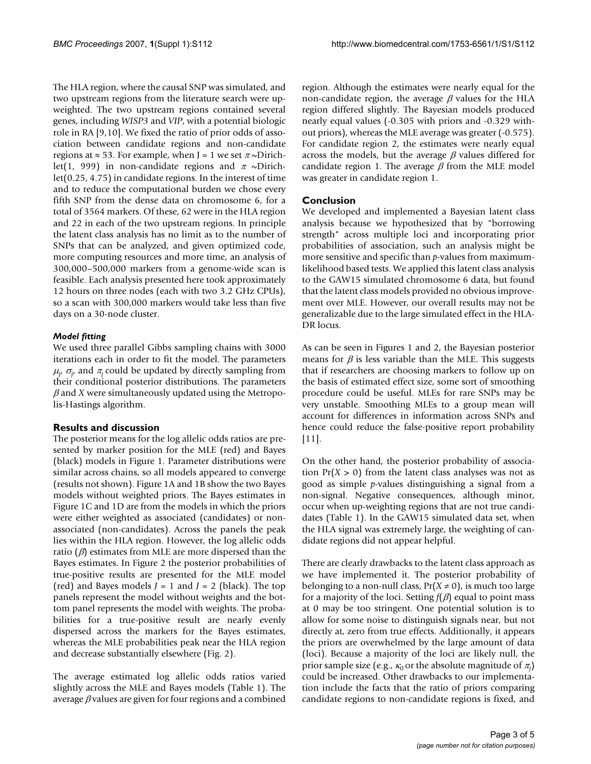The HLA region, where the causal SNP was simulated, and two upstream regions from the literature search were upweighted. The two upstream regions contained several genes, including *WISP3* and *VIP*, with a potential biologic role in RA [9,10]. We fixed the ratio of prior odds of association between candidate regions and non-candidate regions at  $\approx$  53. For example, when J = 1 we set  $\pi \sim$ Dirichlet(1, 999) in non-candidate regions and  $\pi \sim$ Dirichlet(0.25, 4.75) in candidate regions. In the interest of time and to reduce the computational burden we chose every fifth SNP from the dense data on chromosome 6, for a total of 3564 markers. Of these, 62 were in the HLA region and 22 in each of the two upstream regions. In principle the latent class analysis has no limit as to the number of SNPs that can be analyzed, and given optimized code, more computing resources and more time, an analysis of 300,000–500,000 markers from a genome-wide scan is feasible. Each analysis presented here took approximately 12 hours on three nodes (each with two 3.2 GHz CPUs), so a scan with 300,000 markers would take less than five days on a 30-node cluster.

#### *Model fitting*

We used three parallel Gibbs sampling chains with 3000 iterations each in order to fit the model. The parameters  $\mu_{j'}$   $\sigma_{j'}$  and  $\pi_j$  could be updated by directly sampling from their conditional posterior distributions. The parameters  $\beta$  and *X* were simultaneously updated using the Metropolis-Hastings algorithm.

#### **Results and discussion**

The posterior means for the log allelic odds ratios are presented by marker position for the MLE (red) and Bayes (black) models in Figure 1. Parameter distributions were similar across chains, so all models appeared to converge (results not shown). Figure 1A and 1B show the two Bayes models without weighted priors. The Bayes estimates in Figure 1C and 1D are from the models in which the priors were either weighted as associated (candidates) or nonassociated (non-candidates). Across the panels the peak lies within the HLA region. However, the log allelic odds ratio  $(\beta)$  estimates from MLE are more dispersed than the Bayes estimates. In Figure 2 the posterior probabilities of true-positive results are presented for the MLE model (red) and Bayes models *J* = 1 and *J* = 2 (black). The top panels represent the model without weights and the bottom panel represents the model with weights. The probabilities for a true-positive result are nearly evenly dispersed across the markers for the Bayes estimates, whereas the MLE probabilities peak near the HLA region and decrease substantially elsewhere (Fig. 2).

The average estimated log allelic odds ratios varied slightly across the MLE and Bayes models (Table 1). The average  $\beta$  values are given for four regions and a combined

region. Although the estimates were nearly equal for the non-candidate region, the average  $\beta$  values for the HLA region differed slightly. The Bayesian models produced nearly equal values (-0.305 with priors and -0.329 without priors), whereas the MLE average was greater (-0.575). For candidate region 2, the estimates were nearly equal across the models, but the average  $\beta$  values differed for candidate region 1. The average  $\beta$  from the MLE model was greater in candidate region 1.

### **Conclusion**

We developed and implemented a Bayesian latent class analysis because we hypothesized that by "borrowing strength" across multiple loci and incorporating prior probabilities of association, such an analysis might be more sensitive and specific than *p*-values from maximumlikelihood based tests. We applied this latent class analysis to the GAW15 simulated chromosome 6 data, but found that the latent class models provided no obvious improvement over MLE. However, our overall results may not be generalizable due to the large simulated effect in the HLA-DR locus.

As can be seen in Figures 1 and 2, the Bayesian posterior means for  $\beta$  is less variable than the MLE. This suggests that if researchers are choosing markers to follow up on the basis of estimated effect size, some sort of smoothing procedure could be useful. MLEs for rare SNPs may be very unstable. Smoothing MLEs to a group mean will account for differences in information across SNPs and hence could reduce the false-positive report probability [11].

On the other hand, the posterior probability of association  $Pr(X > 0)$  from the latent class analyses was not as good as simple *p*-values distinguishing a signal from a non-signal. Negative consequences, although minor, occur when up-weighting regions that are not true candidates (Table 1). In the GAW15 simulated data set, when the HLA signal was extremely large, the weighting of candidate regions did not appear helpful.

There are clearly drawbacks to the latent class approach as we have implemented it. The posterior probability of belonging to a non-null class,  $Pr(X \neq 0)$ , is much too large for a majority of the loci. Setting *f*(β) equal to point mass at 0 may be too stringent. One potential solution is to allow for some noise to distinguish signals near, but not directly at, zero from true effects. Additionally, it appears the priors are overwhelmed by the large amount of data (loci). Because a majority of the loci are likely null, the prior sample size (e.g.,  $\kappa_0$  or the absolute magnitude of  $\pi_{\!j}^{\phantom{\dagger}}\!)$ could be increased. Other drawbacks to our implementation include the facts that the ratio of priors comparing candidate regions to non-candidate regions is fixed, and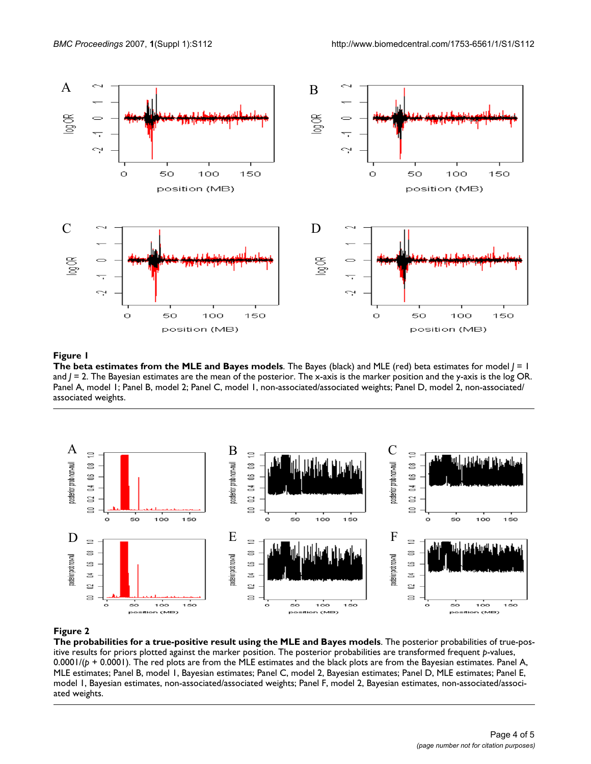

#### Figure 1

**The beta estimates from the MLE and Bayes models**. The Bayes (black) and MLE (red) beta estimates for model *J* = 1 and *J* = 2. The Bayesian estimates are the mean of the posterior. The x-axis is the marker position and the y-axis is the log OR. Panel A, model 1; Panel B, model 2; Panel C, model 1, non-associated/associated weights; Panel D, model 2, non-associated/ associated weights.



#### Figure 2

**The probabilities for a true-positive result using the MLE and Bayes models**. The posterior probabilities of true-positive results for priors plotted against the marker position. The posterior probabilities are transformed frequent *p*-values, 0.0001/(*p* + 0.0001). The red plots are from the MLE estimates and the black plots are from the Bayesian estimates. Panel A, MLE estimates; Panel B, model 1, Bayesian estimates; Panel C, model 2, Bayesian estimates; Panel D, MLE estimates; Panel E, model 1, Bayesian estimates, non-associated/associated weights; Panel F, model 2, Bayesian estimates, non-associated/associated weights.